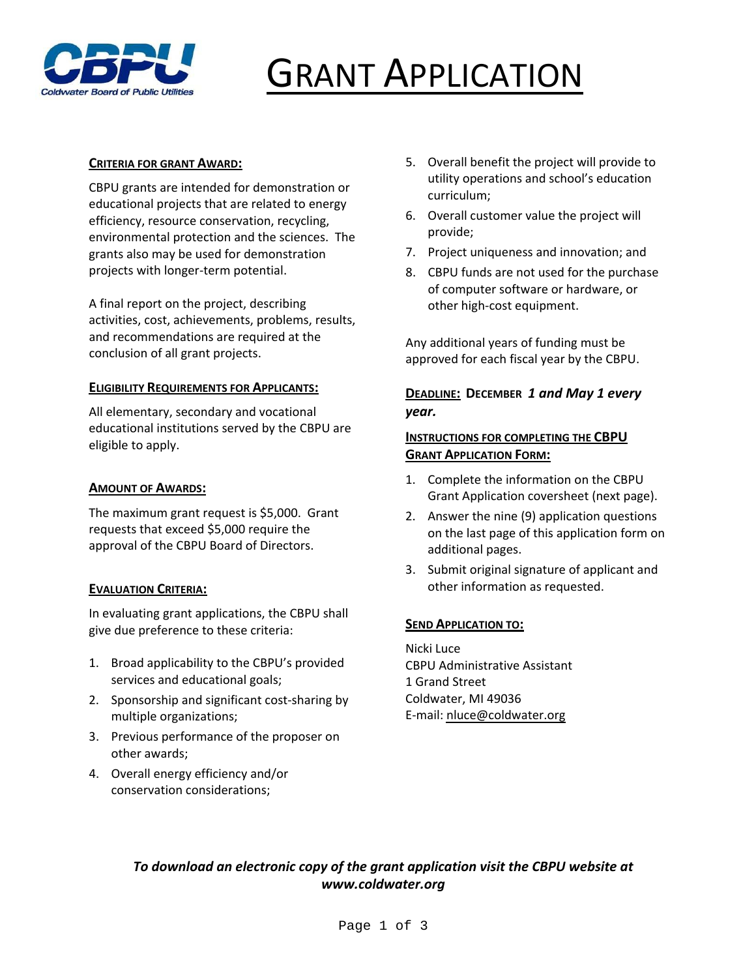

# GRANT APPLICATION

#### **CRITERIA FOR GRANT AWARD:**

CBPU grants are intended for demonstration or educational projects that are related to energy efficiency, resource conservation, recycling, environmental protection and the sciences. The grants also may be used for demonstration projects with longer‐term potential.

A final report on the project, describing activities, cost, achievements, problems, results, and recommendations are required at the conclusion of all grant projects.

#### **ELIGIBILITY REQUIREMENTS FOR APPLICANTS:**

All elementary, secondary and vocational educational institutions served by the CBPU are eligible to apply.

#### **AMOUNT OF AWARDS:**

The maximum grant request is \$5,000. Grant requests that exceed \$5,000 require the approval of the CBPU Board of Directors.

#### **EVALUATION CRITERIA:**

In evaluating grant applications, the CBPU shall give due preference to these criteria:

- 1. Broad applicability to the CBPU's provided services and educational goals;
- 2. Sponsorship and significant cost‐sharing by multiple organizations;
- 3. Previous performance of the proposer on other awards;
- 4. Overall energy efficiency and/or conservation considerations;
- 5. Overall benefit the project will provide to utility operations and school's education curriculum;
- 6. Overall customer value the project will provide;
- 7. Project uniqueness and innovation; and
- 8. CBPU funds are not used for the purchase of computer software or hardware, or other high‐cost equipment.

Any additional years of funding must be approved for each fiscal year by the CBPU.

### **DEADLINE: DECEMBER** *1 and May 1 every year.*

#### **INSTRUCTIONS FOR COMPLETING THE CBPU GRANT APPLICATION FORM:**

- 1. Complete the information on the CBPU Grant Application coversheet (next page).
- 2. Answer the nine (9) application questions on the last page of this application form on additional pages.
- 3. Submit original signature of applicant and other information as requested.

#### **SEND APPLICATION TO:**

Nicki Luce CBPU Administrative Assistant 1 Grand Street Coldwater, MI 49036 E‐mail: nluce@coldwater.org

## *To download an electronic copy of the grant application visit the CBPU website at www.coldwater.org*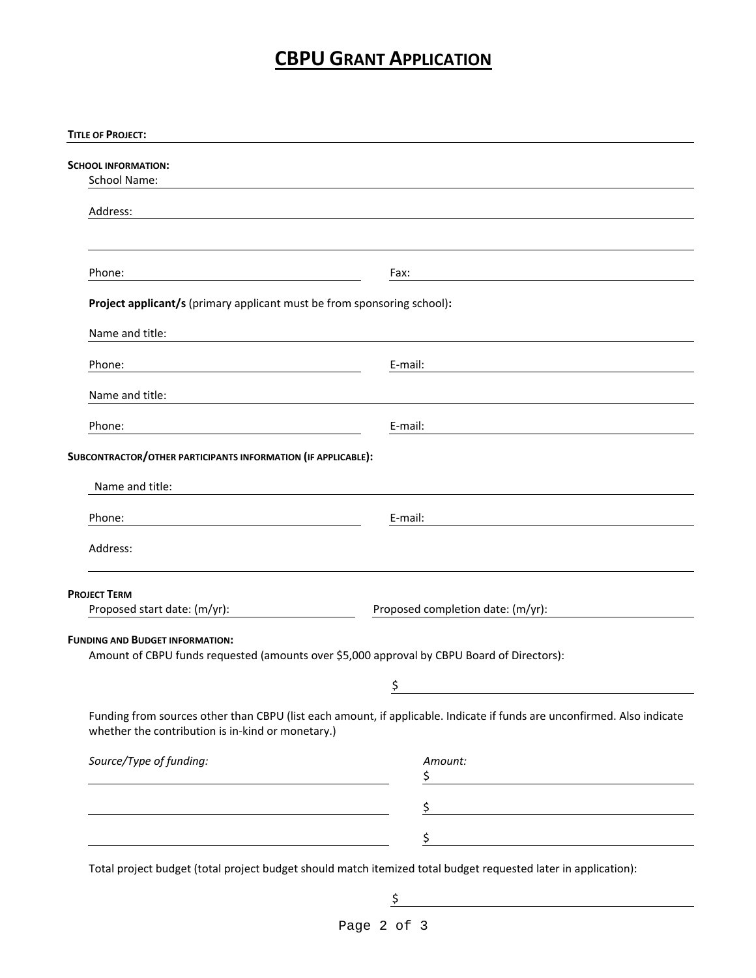# **CBPU GRANT APPLICATION**

| <b>TITLE OF PROJECT:</b>                                                                                             |                                                                                                                           |  |
|----------------------------------------------------------------------------------------------------------------------|---------------------------------------------------------------------------------------------------------------------------|--|
|                                                                                                                      |                                                                                                                           |  |
| SCHOOL INFORMATION:                                                                                                  |                                                                                                                           |  |
| <b>School Name:</b>                                                                                                  |                                                                                                                           |  |
| Address:                                                                                                             |                                                                                                                           |  |
|                                                                                                                      |                                                                                                                           |  |
|                                                                                                                      |                                                                                                                           |  |
|                                                                                                                      |                                                                                                                           |  |
| Phone:                                                                                                               | Fax:                                                                                                                      |  |
|                                                                                                                      |                                                                                                                           |  |
| Project applicant/s (primary applicant must be from sponsoring school):                                              |                                                                                                                           |  |
| Name and title:                                                                                                      |                                                                                                                           |  |
|                                                                                                                      |                                                                                                                           |  |
| Phone:                                                                                                               | E-mail:                                                                                                                   |  |
|                                                                                                                      |                                                                                                                           |  |
| Name and title:                                                                                                      |                                                                                                                           |  |
|                                                                                                                      |                                                                                                                           |  |
| Phone:                                                                                                               | E-mail:                                                                                                                   |  |
| SUBCONTRACTOR/OTHER PARTICIPANTS INFORMATION (IF APPLICABLE):                                                        |                                                                                                                           |  |
|                                                                                                                      |                                                                                                                           |  |
| Name and title:                                                                                                      |                                                                                                                           |  |
|                                                                                                                      |                                                                                                                           |  |
| Phone:                                                                                                               | E-mail:                                                                                                                   |  |
|                                                                                                                      |                                                                                                                           |  |
| Address:                                                                                                             |                                                                                                                           |  |
|                                                                                                                      |                                                                                                                           |  |
| <b>PROJECT TERM</b>                                                                                                  |                                                                                                                           |  |
| Proposed start date: (m/yr):                                                                                         | Proposed completion date: (m/yr):                                                                                         |  |
|                                                                                                                      |                                                                                                                           |  |
| <b>FUNDING AND BUDGET INFORMATION:</b>                                                                               |                                                                                                                           |  |
| Amount of CBPU funds requested (amounts over \$5,000 approval by CBPU Board of Directors):                           |                                                                                                                           |  |
|                                                                                                                      | ᅩ                                                                                                                         |  |
|                                                                                                                      |                                                                                                                           |  |
|                                                                                                                      | Funding from sources other than CBPU (list each amount, if applicable. Indicate if funds are unconfirmed. Also indicate   |  |
| whether the contribution is in-kind or monetary.)                                                                    |                                                                                                                           |  |
|                                                                                                                      |                                                                                                                           |  |
| Source/Type of funding:                                                                                              | Amount:                                                                                                                   |  |
| <u> 1989 - Johann Barn, fransk politik (d. 1989)</u>                                                                 | $\frac{1}{2}$                                                                                                             |  |
|                                                                                                                      |                                                                                                                           |  |
| <u> 1980 - Johann Barn, mars ann an t-Amhain Aonaich an t-Aonaich an t-Aonaich ann an t-Aonaich ann an t-Aonaich</u> | <u> 1989 - Johann Barn, mars eta bainar eta baina eta baina eta baina eta baina eta baina eta baina eta baina e</u><br>\$ |  |
|                                                                                                                      | $\frac{1}{2}$                                                                                                             |  |
|                                                                                                                      |                                                                                                                           |  |
|                                                                                                                      | Total project budget (total project budget should match itemized total budget requested later in application):            |  |